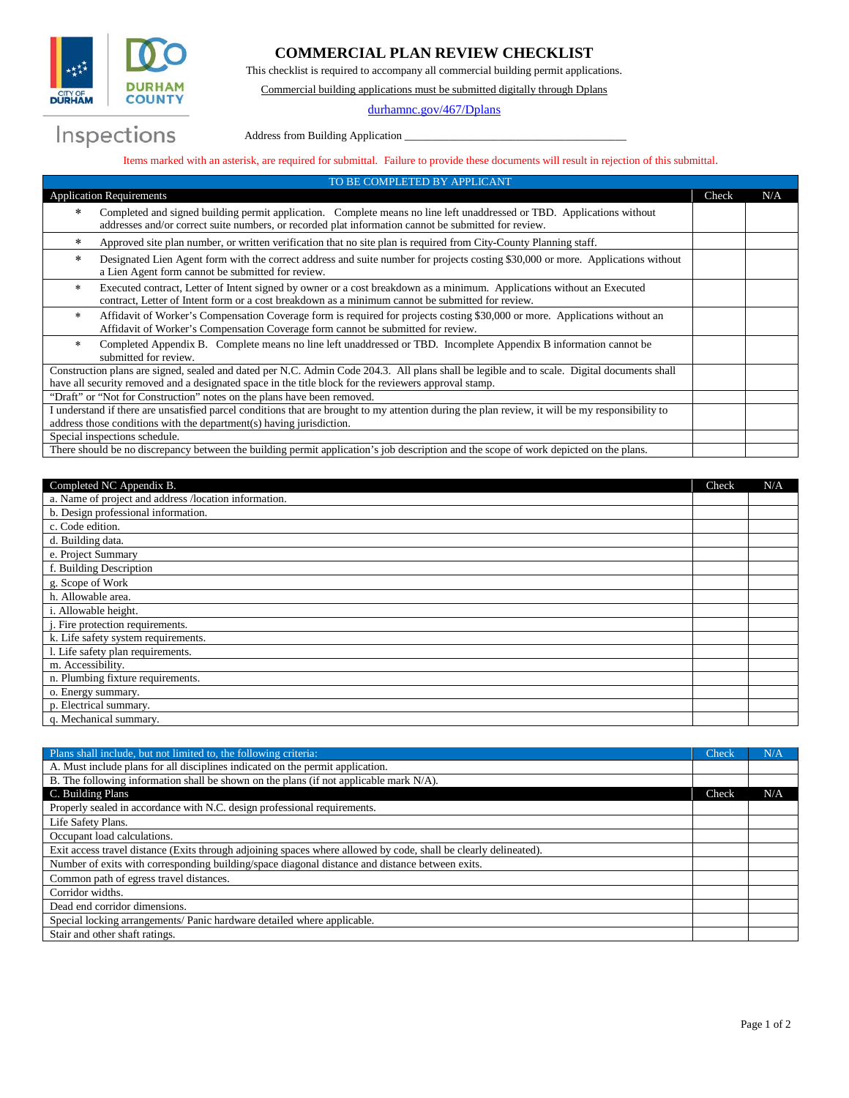

Inspections

## **COMMERCIAL PLAN REVIEW CHECKLIST**

This checklist is required to accompany all commercial building permit applications.

Commercial building applications must be submitted digitally through Dplans

[durhamnc.gov/467/Dplans](mailto:Dplans@durhamnc.gov)

Address from Building Application

## Items marked with an asterisk, are required for submittal. Failure to provide these documents will result in rejection of this submittal.

| TO BE COMPLETED BY APPLICANT                                                                                                                                                                                                                         |       |     |
|------------------------------------------------------------------------------------------------------------------------------------------------------------------------------------------------------------------------------------------------------|-------|-----|
| <b>Application Requirements</b>                                                                                                                                                                                                                      | Check | N/A |
| Completed and signed building permit application. Complete means no line left unaddressed or TBD. Applications without<br>$\ast$<br>addresses and/or correct suite numbers, or recorded plat information cannot be submitted for review.             |       |     |
| Approved site plan number, or written verification that no site plan is required from City-County Planning staff.<br>$\ast$                                                                                                                          |       |     |
| Designated Lien Agent form with the correct address and suite number for projects costing \$30,000 or more. Applications without<br>$\ast$<br>a Lien Agent form cannot be submitted for review.                                                      |       |     |
| Executed contract, Letter of Intent signed by owner or a cost breakdown as a minimum. Applications without an Executed<br>*<br>contract, Letter of Intent form or a cost breakdown as a minimum cannot be submitted for review.                      |       |     |
| Affidavit of Worker's Compensation Coverage form is required for projects costing \$30,000 or more. Applications without an<br>$\star$<br>Affidavit of Worker's Compensation Coverage form cannot be submitted for review.                           |       |     |
| Completed Appendix B. Complete means no line left unaddressed or TBD. Incomplete Appendix B information cannot be<br>$\ast$<br>submitted for review.                                                                                                 |       |     |
| Construction plans are signed, sealed and dated per N.C. Admin Code 204.3. All plans shall be legible and to scale. Digital documents shall<br>have all security removed and a designated space in the title block for the reviewers approval stamp. |       |     |
| "Draft" or "Not for Construction" notes on the plans have been removed.                                                                                                                                                                              |       |     |
| I understand if there are unsatisfied parcel conditions that are brought to my attention during the plan review, it will be my responsibility to                                                                                                     |       |     |
| address those conditions with the department(s) having jurisdiction.                                                                                                                                                                                 |       |     |
| Special inspections schedule.                                                                                                                                                                                                                        |       |     |
| There should be no discrepancy between the building permit application's job description and the scope of work depicted on the plans.                                                                                                                |       |     |

| Completed NC Appendix B.                              | Check | N/A |
|-------------------------------------------------------|-------|-----|
| a. Name of project and address /location information. |       |     |
| b. Design professional information.                   |       |     |
| c. Code edition.                                      |       |     |
| d. Building data.                                     |       |     |
| e. Project Summary                                    |       |     |
| f. Building Description                               |       |     |
| g. Scope of Work                                      |       |     |
| h. Allowable area.                                    |       |     |
| i. Allowable height.                                  |       |     |
| . Fire protection requirements.                       |       |     |
| k. Life safety system requirements.                   |       |     |
| 1. Life safety plan requirements.                     |       |     |
| m. Accessibility.                                     |       |     |
| n. Plumbing fixture requirements.                     |       |     |
| o. Energy summary.                                    |       |     |
| p. Electrical summary.                                |       |     |
| q. Mechanical summary.                                |       |     |

| Plans shall include, but not limited to, the following criteria:                                                 | Check | N/A |
|------------------------------------------------------------------------------------------------------------------|-------|-----|
| A. Must include plans for all disciplines indicated on the permit application.                                   |       |     |
| B. The following information shall be shown on the plans (if not applicable mark $N/A$ ).                        |       |     |
| C. Building Plans                                                                                                | Check | N/A |
| Properly sealed in accordance with N.C. design professional requirements.                                        |       |     |
| Life Safety Plans.                                                                                               |       |     |
| Occupant load calculations.                                                                                      |       |     |
| Exit access travel distance (Exits through adjoining spaces where allowed by code, shall be clearly delineated). |       |     |
| Number of exits with corresponding building/space diagonal distance and distance between exits.                  |       |     |
| Common path of egress travel distances.                                                                          |       |     |
| Corridor widths.                                                                                                 |       |     |
| Dead end corridor dimensions.                                                                                    |       |     |
| Special locking arrangements/ Panic hardware detailed where applicable.                                          |       |     |
| Stair and other shaft ratings.                                                                                   |       |     |